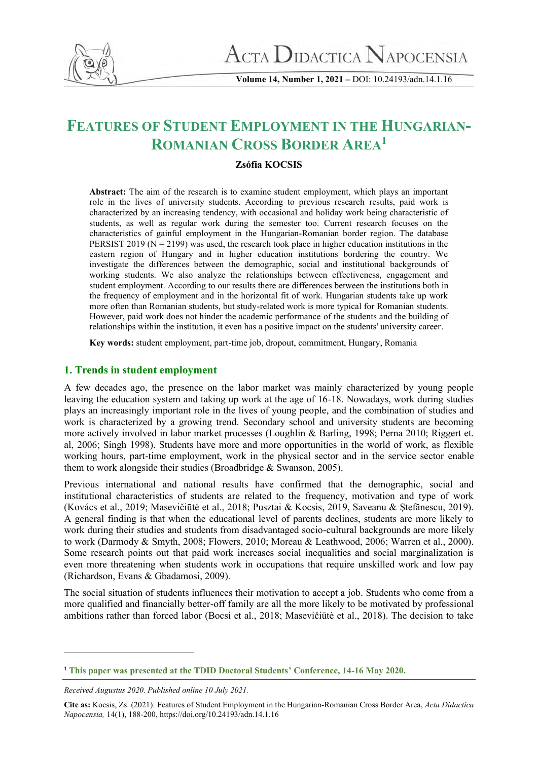

**Volume 14, Number 1, 2021 –** DOI: 10.24193/adn.14.1.16

# **FEATURES OF STUDENT EMPLOYMENT IN THE HUNGARIAN-ROMANIAN CROSS BORDER AREA<sup>1</sup>**

# **Zsófia KOCSIS**

**Abstract:** The aim of the research is to examine student employment, which plays an important role in the lives of university students. According to previous research results, paid work is characterized by an increasing tendency, with occasional and holiday work being characteristic of students, as well as regular work during the semester too. Current research focuses on the characteristics of gainful employment in the Hungarian-Romanian border region. The database PERSIST 2019 ( $N = 2199$ ) was used, the research took place in higher education institutions in the eastern region of Hungary and in higher education institutions bordering the country. We investigate the differences between the demographic, social and institutional backgrounds of working students. We also analyze the relationships between effectiveness, engagement and student employment. According to our results there are differences between the institutions both in the frequency of employment and in the horizontal fit of work. Hungarian students take up work more often than Romanian students, but study-related work is more typical for Romanian students. However, paid work does not hinder the academic performance of the students and the building of relationships within the institution, it even has a positive impact on the students' university career.

**Key words:** student employment, part-time job, dropout, commitment, Hungary, Romania

# **1. Trends in student employment**

A few decades ago, the presence on the labor market was mainly characterized by young people leaving the education system and taking up work at the age of 16-18. Nowadays, work during studies plays an increasingly important role in the lives of young people, and the combination of studies and work is characterized by a growing trend. Secondary school and university students are becoming more actively involved in labor market processes (Loughlin & Barling, 1998; Perna 2010; Riggert et. al, 2006; Singh 1998). Students have more and more opportunities in the world of work, as flexible working hours, part-time employment, work in the physical sector and in the service sector enable them to work alongside their studies (Broadbridge & Swanson, 2005).

Previous international and national results have confirmed that the demographic, social and institutional characteristics of students are related to the frequency, motivation and type of work (Kovács et al., 2019; Masevičiūtė et al., 2018; Pusztai & Kocsis, 2019, Saveanu & Ştefănescu, 2019). A general finding is that when the educational level of parents declines, students are more likely to work during their studies and students from disadvantaged socio-cultural backgrounds are more likely to work (Darmody & Smyth, 2008; Flowers, 2010; Moreau & Leathwood, 2006; Warren et al., 2000). Some research points out that paid work increases social inequalities and social marginalization is even more threatening when students work in occupations that require unskilled work and low pay (Richardson, Evans & Gbadamosi, 2009).

The social situation of students influences their motivation to accept a job. Students who come from a more qualified and financially better-off family are all the more likely to be motivated by professional ambitions rather than forced labor (Bocsi et al., 2018; Masevičiūtė et al., 2018). The decision to take

<sup>1</sup> **This paper was presented at the TDID Doctoral Students' Conference, 14-16 May 2020.**

*Received Augustus 2020. Published online 10 July 2021.*

**Cite as:** Kocsis, Zs. (2021): Features of Student Employment in the Hungarian-Romanian Cross Border Area, *Acta Didactica Napocensia,* 14(1), 188-200, https://doi.org/10.24193/adn.14.1.16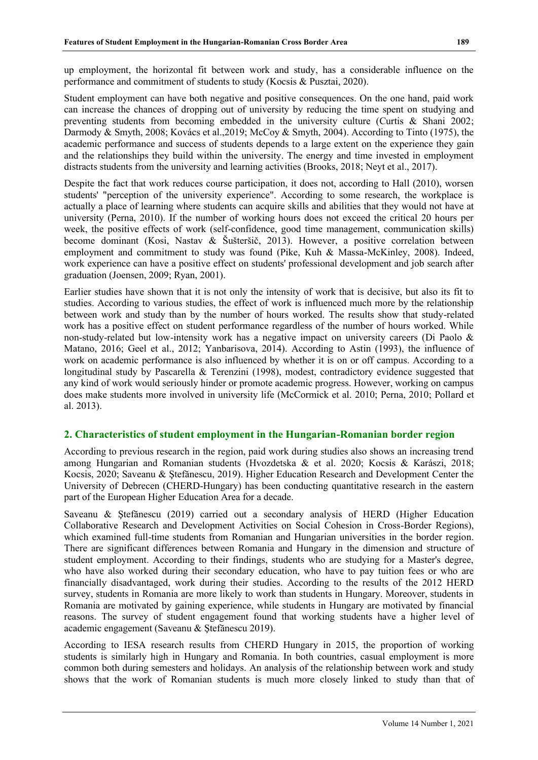up employment, the horizontal fit between work and study, has a considerable influence on the performance and commitment of students to study (Kocsis & Pusztai, 2020).

Student employment can have both negative and positive consequences. On the one hand, paid work can increase the chances of dropping out of university by reducing the time spent on studying and preventing students from becoming embedded in the university culture (Curtis & Shani 2002; Darmody & Smyth, 2008; Kovács et al.,2019; McCoy & Smyth, 2004). According to Tinto (1975), the academic performance and success of students depends to a large extent on the experience they gain and the relationships they build within the university. The energy and time invested in employment distracts students from the university and learning activities (Brooks, 2018; Neyt et al., 2017).

Despite the fact that work reduces course participation, it does not, according to Hall (2010), worsen students' "perception of the university experience". According to some research, the workplace is actually a place of learning where students can acquire skills and abilities that they would not have at university (Perna, 2010). If the number of working hours does not exceed the critical 20 hours per week, the positive effects of work (self-confidence, good time management, communication skills) become dominant (Kosi, Nastav & Šušteršič, 2013). However, a positive correlation between employment and commitment to study was found (Pike, Kuh & Massa-McKinley, 2008). Indeed, work experience can have a positive effect on students' professional development and job search after graduation (Joensen, 2009; Ryan, 2001).

Earlier studies have shown that it is not only the intensity of work that is decisive, but also its fit to studies. According to various studies, the effect of work is influenced much more by the relationship between work and study than by the number of hours worked. The results show that study-related work has a positive effect on student performance regardless of the number of hours worked. While non-study-related but low-intensity work has a negative impact on university careers (Di Paolo & Matano, 2016; Geel et al., 2012; Yanbarisova, 2014). According to Astin (1993), the influence of work on academic performance is also influenced by whether it is on or off campus. According to a longitudinal study by Pascarella & Terenzini (1998), modest, contradictory evidence suggested that any kind of work would seriously hinder or promote academic progress. However, working on campus does make students more involved in university life (McCormick et al. 2010; Perna, 2010; Pollard et al. 2013).

## **2. Characteristics of student employment in the Hungarian-Romanian border region**

According to previous research in the region, paid work during studies also shows an increasing trend among Hungarian and Romanian students (Hvozdetska & et al. 2020; Kocsis & Karászi, 2018; Kocsis, 2020; Saveanu & Ştefănescu, 2019). Higher Education Research and Development Center the University of Debrecen (CHERD-Hungary) has been conducting quantitative research in the eastern part of the European Higher Education Area for a decade.

Saveanu & Ştefănescu (2019) carried out a secondary analysis of HERD (Higher Education Collaborative Research and Development Activities on Social Cohesion in Cross-Border Regions), which examined full-time students from Romanian and Hungarian universities in the border region. There are significant differences between Romania and Hungary in the dimension and structure of student employment. According to their findings, students who are studying for a Master's degree, who have also worked during their secondary education, who have to pay tuition fees or who are financially disadvantaged, work during their studies. According to the results of the 2012 HERD survey, students in Romania are more likely to work than students in Hungary. Moreover, students in Romania are motivated by gaining experience, while students in Hungary are motivated by financial reasons. The survey of student engagement found that working students have a higher level of academic engagement (Saveanu & Ştefănescu 2019).

According to IESA research results from CHERD Hungary in 2015, the proportion of working students is similarly high in Hungary and Romania. In both countries, casual employment is more common both during semesters and holidays. An analysis of the relationship between work and study shows that the work of Romanian students is much more closely linked to study than that of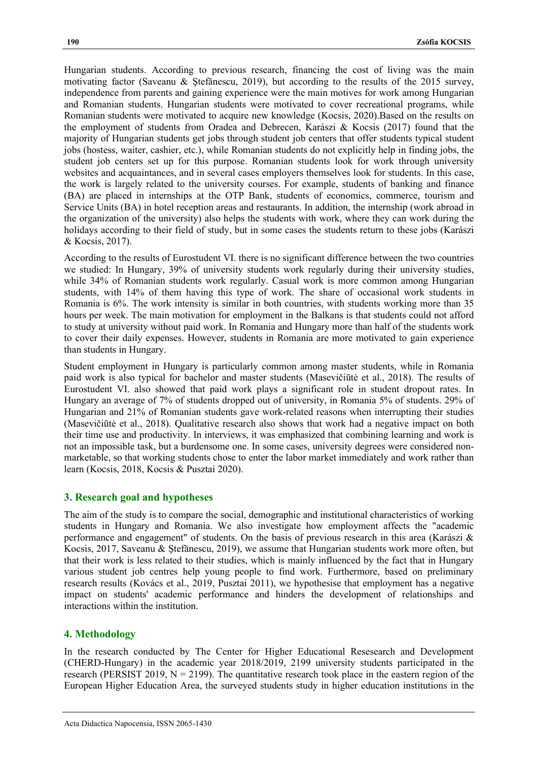Hungarian students. According to previous research, financing the cost of living was the main motivating factor (Saveanu & Ştefănescu, 2019), but according to the results of the 2015 survey, independence from parents and gaining experience were the main motives for work among Hungarian and Romanian students. Hungarian students were motivated to cover recreational programs, while Romanian students were motivated to acquire new knowledge (Kocsis, 2020).Based on the results on the employment of students from Oradea and Debrecen, Karászi & Kocsis (2017) found that the majority of Hungarian students get jobs through student job centers that offer students typical student jobs (hostess, waiter, cashier, etc.), while Romanian students do not explicitly help in finding jobs, the student job centers set up for this purpose. Romanian students look for work through university websites and acquaintances, and in several cases employers themselves look for students. In this case, the work is largely related to the university courses. For example, students of banking and finance (BA) are placed in internships at the OTP Bank, students of economics, commerce, tourism and Service Units (BA) in hotel reception areas and restaurants. In addition, the internship (work abroad in the organization of the university) also helps the students with work, where they can work during the holidays according to their field of study, but in some cases the students return to these jobs (Karászi & Kocsis, 2017).

According to the results of Eurostudent VI. there is no significant difference between the two countries we studied: In Hungary, 39% of university students work regularly during their university studies, while 34% of Romanian students work regularly. Casual work is more common among Hungarian students, with 14% of them having this type of work. The share of occasional work students in Romania is 6%. The work intensity is similar in both countries, with students working more than 35 hours per week. The main motivation for employment in the Balkans is that students could not afford to study at university without paid work. In Romania and Hungary more than half of the students work to cover their daily expenses. However, students in Romania are more motivated to gain experience than students in Hungary.

Student employment in Hungary is particularly common among master students, while in Romania paid work is also typical for bachelor and master students (Masevičiūtė et al., 2018). The results of Eurostudent VI. also showed that paid work plays a significant role in student dropout rates. In Hungary an average of 7% of students dropped out of university, in Romania 5% of students. 29% of Hungarian and 21% of Romanian students gave work-related reasons when interrupting their studies (Masevičiūtė et al., 2018). Qualitative research also shows that work had a negative impact on both their time use and productivity. In interviews, it was emphasized that combining learning and work is not an impossible task, but a burdensome one. In some cases, university degrees were considered nonmarketable, so that working students chose to enter the labor market immediately and work rather than learn (Kocsis, 2018, Kocsis & Pusztai 2020).

## **3. Research goal and hypotheses**

The aim of the study is to compare the social, demographic and institutional characteristics of working students in Hungary and Romania. We also investigate how employment affects the "academic performance and engagement" of students. On the basis of previous research in this area (Karászi & Kocsis, 2017, Saveanu & Ştefănescu, 2019), we assume that Hungarian students work more often, but that their work is less related to their studies, which is mainly influenced by the fact that in Hungary various student job centres help young people to find work. Furthermore, based on preliminary research results (Kovács et al., 2019, Pusztai 2011), we hypothesise that employment has a negative impact on students' academic performance and hinders the development of relationships and interactions within the institution.

## **4. Methodology**

In the research conducted by The Center for Higher Educational Resesearch and Development (CHERD-Hungary) in the academic year 2018/2019, 2199 university students participated in the research (PERSIST 2019,  $N = 2199$ ). The quantitative research took place in the eastern region of the European Higher Education Area, the surveyed students study in higher education institutions in the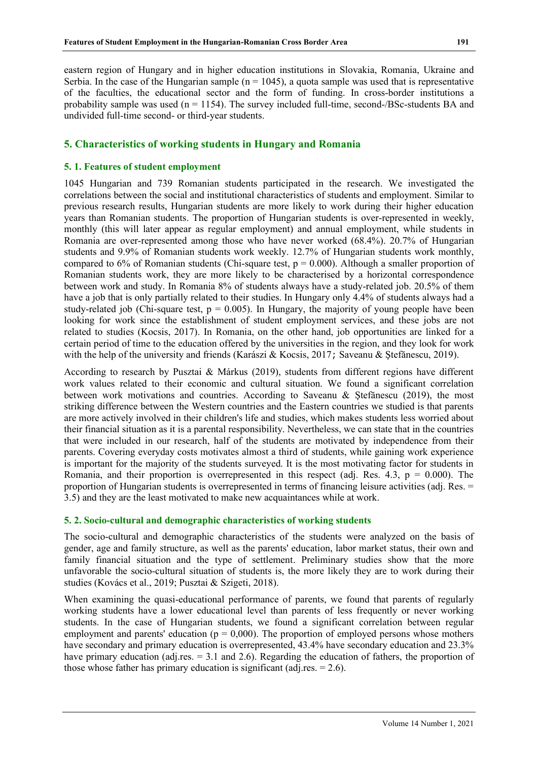eastern region of Hungary and in higher education institutions in Slovakia, Romania, Ukraine and Serbia. In the case of the Hungarian sample ( $n = 1045$ ), a quota sample was used that is representative of the faculties, the educational sector and the form of funding. In cross-border institutions a probability sample was used  $(n = 1154)$ . The survey included full-time, second-/BSc-students BA and undivided full-time second- or third-year students.

### **5. Characteristics of working students in Hungary and Romania**

#### **5. 1. Features of student employment**

1045 Hungarian and 739 Romanian students participated in the research. We investigated the correlations between the social and institutional characteristics of students and employment. Similar to previous research results, Hungarian students are more likely to work during their higher education years than Romanian students. The proportion of Hungarian students is over-represented in weekly, monthly (this will later appear as regular employment) and annual employment, while students in Romania are over-represented among those who have never worked (68.4%). 20.7% of Hungarian students and 9.9% of Romanian students work weekly. 12.7% of Hungarian students work monthly, compared to 6% of Romanian students (Chi-square test,  $p = 0.000$ ). Although a smaller proportion of Romanian students work, they are more likely to be characterised by a horizontal correspondence between work and study. In Romania 8% of students always have a study-related job. 20.5% of them have a job that is only partially related to their studies. In Hungary only 4.4% of students always had a study-related job (Chi-square test,  $p = 0.005$ ). In Hungary, the majority of young people have been looking for work since the establishment of student employment services, and these jobs are not related to studies (Kocsis, 2017). In Romania, on the other hand, job opportunities are linked for a certain period of time to the education offered by the universities in the region, and they look for work with the help of the university and friends (Karászi & Kocsis, 2017; Saveanu & Stefănescu, 2019).

According to research by Pusztai & Márkus (2019), students from different regions have different work values related to their economic and cultural situation. We found a significant correlation between work motivations and countries. According to Saveanu & Ştefănescu (2019), the most striking difference between the Western countries and the Eastern countries we studied is that parents are more actively involved in their children's life and studies, which makes students less worried about their financial situation as it is a parental responsibility. Nevertheless, we can state that in the countries that were included in our research, half of the students are motivated by independence from their parents. Covering everyday costs motivates almost a third of students, while gaining work experience is important for the majority of the students surveyed. It is the most motivating factor for students in Romania, and their proportion is overrepresented in this respect (adj. Res. 4.3,  $p = 0.000$ ). The proportion of Hungarian students is overrepresented in terms of financing leisure activities (adj. Res. = 3.5) and they are the least motivated to make new acquaintances while at work.

#### **5. 2. Socio-cultural and demographic characteristics of working students**

The socio-cultural and demographic characteristics of the students were analyzed on the basis of gender, age and family structure, as well as the parents' education, labor market status, their own and family financial situation and the type of settlement. Preliminary studies show that the more unfavorable the socio-cultural situation of students is, the more likely they are to work during their studies (Kovács et al., 2019; Pusztai & Szigeti, 2018).

When examining the quasi-educational performance of parents, we found that parents of regularly working students have a lower educational level than parents of less frequently or never working students. In the case of Hungarian students, we found a significant correlation between regular employment and parents' education ( $p = 0,000$ ). The proportion of employed persons whose mothers have secondary and primary education is overrepresented, 43.4% have secondary education and 23.3% have primary education (adj.res. = 3.1 and 2.6). Regarding the education of fathers, the proportion of those whose father has primary education is significant (adj.res.  $= 2.6$ ).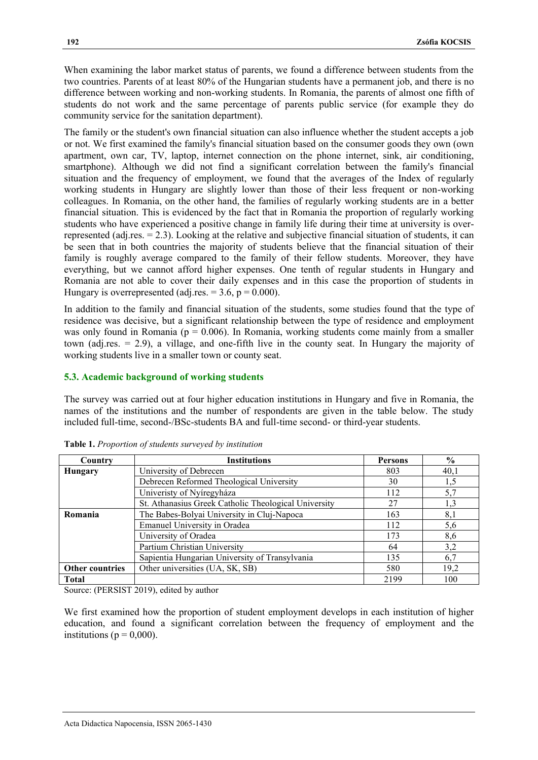When examining the labor market status of parents, we found a difference between students from the two countries. Parents of at least 80% of the Hungarian students have a permanent job, and there is no difference between working and non-working students. In Romania, the parents of almost one fifth of students do not work and the same percentage of parents public service (for example they do community service for the sanitation department).

The family or the student's own financial situation can also influence whether the student accepts a job or not. We first examined the family's financial situation based on the consumer goods they own (own apartment, own car, TV, laptop, internet connection on the phone internet, sink, air conditioning, smartphone). Although we did not find a significant correlation between the family's financial situation and the frequency of employment, we found that the averages of the Index of regularly working students in Hungary are slightly lower than those of their less frequent or non-working colleagues. In Romania, on the other hand, the families of regularly working students are in a better financial situation. This is evidenced by the fact that in Romania the proportion of regularly working students who have experienced a positive change in family life during their time at university is overrepresented (adj.res.  $= 2.3$ ). Looking at the relative and subjective financial situation of students, it can be seen that in both countries the majority of students believe that the financial situation of their family is roughly average compared to the family of their fellow students. Moreover, they have everything, but we cannot afford higher expenses. One tenth of regular students in Hungary and Romania are not able to cover their daily expenses and in this case the proportion of students in Hungary is overrepresented (adj.res.  $= 3.6$ ,  $p = 0.000$ ).

In addition to the family and financial situation of the students, some studies found that the type of residence was decisive, but a significant relationship between the type of residence and employment was only found in Romania ( $p = 0.006$ ). In Romania, working students come mainly from a smaller town (adj.res. = 2.9), a village, and one-fifth live in the county seat. In Hungary the majority of working students live in a smaller town or county seat.

## **5.3. Academic background of working students**

The survey was carried out at four higher education institutions in Hungary and five in Romania, the names of the institutions and the number of respondents are given in the table below. The study included full-time, second-/BSc-students BA and full-time second- or third-year students.

| Country         | <b>Institutions</b>                                  | Persons | $\frac{0}{0}$ |
|-----------------|------------------------------------------------------|---------|---------------|
| <b>Hungary</b>  | University of Debrecen                               | 803     | 40,1          |
|                 | Debrecen Reformed Theological University             | 30      | 1,5           |
|                 | Univeristy of Nyíregyháza                            | 112     | 5,7           |
|                 | St. Athanasius Greek Catholic Theological University | 27      | 1,3           |
| Romania         | The Babes-Bolyai University in Cluj-Napoca           | 163     | 8,1           |
|                 | Emanuel University in Oradea                         | 112     | 5,6           |
|                 | University of Oradea                                 | 173     | 8,6           |
|                 | Partium Christian University                         | 64      | 3,2           |
|                 | Sapientia Hungarian University of Transylvania       | 135     | 6,7           |
| Other countries | Other universities (UA, SK, SB)                      | 580     | 19,2          |
| <b>Total</b>    |                                                      | 2199    | 100           |

**Table 1.** *Proportion of students surveyed by institution*

Source: (PERSIST 2019), edited by author

We first examined how the proportion of student employment develops in each institution of higher education, and found a significant correlation between the frequency of employment and the institutions ( $p = 0,000$ ).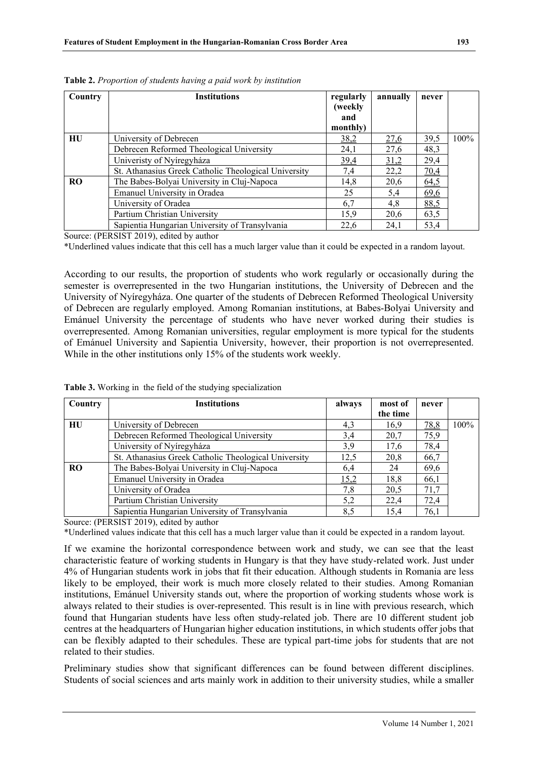| Country   | <b>Institutions</b>                                  | regularly<br>(weekly<br>and<br>monthly) | annually | never |      |
|-----------|------------------------------------------------------|-----------------------------------------|----------|-------|------|
| HU        | University of Debrecen                               | 38,2                                    | 27,6     | 39,5  | 100% |
|           | Debrecen Reformed Theological University             | 24,1                                    | 27,6     | 48,3  |      |
|           | Univeristy of Nyíregyháza                            | 39,4                                    | 31,2     | 29,4  |      |
|           | St. Athanasius Greek Catholic Theological University | 7,4                                     | 22,2     | 70,4  |      |
| <b>RO</b> | The Babes-Bolyai University in Cluj-Napoca           | 14,8                                    | 20,6     | 64,5  |      |
|           | Emanuel University in Oradea                         | 25                                      | 5,4      | 69,6  |      |
|           | University of Oradea                                 | 6,7                                     | 4,8      | 88,5  |      |
|           | Partium Christian University                         | 15,9                                    | 20,6     | 63,5  |      |
|           | Sapientia Hungarian University of Transylvania       | 22,6                                    | 24,1     | 53,4  |      |

**Table 2.** *Proportion of students having a paid work by institution*

Source: (PERSIST 2019), edited by author

\*Underlined values indicate that this cell has a much larger value than it could be expected in a random layout.

According to our results, the proportion of students who work regularly or occasionally during the semester is overrepresented in the two Hungarian institutions, the University of Debrecen and the University of Nyíregyháza. One quarter of the students of Debrecen Reformed Theological University of Debrecen are regularly employed. Among Romanian institutions, at Babes-Bolyai University and Emánuel University the percentage of students who have never worked during their studies is overrepresented. Among Romanian universities, regular employment is more typical for the students of Emánuel University and Sapientia University, however, their proportion is not overrepresented. While in the other institutions only 15% of the students work weekly.

| Country   | <b>Institutions</b>                                  | always | most of  | never |         |
|-----------|------------------------------------------------------|--------|----------|-------|---------|
|           |                                                      |        | the time |       |         |
| HU        | University of Debrecen                               | 4,3    | 16,9     | 78,8  | $100\%$ |
|           | Debrecen Reformed Theological University             | 3,4    | 20,7     | 75,9  |         |
|           | University of Nyíregyháza                            | 3,9    | 17,6     | 78,4  |         |
|           | St. Athanasius Greek Catholic Theological University | 12,5   | 20,8     | 66,7  |         |
| <b>RO</b> | The Babes-Bolyai University in Cluj-Napoca           | 6,4    | 24       | 69,6  |         |
|           | Emanuel University in Oradea                         | 15,2   | 18,8     | 66,1  |         |
|           | University of Oradea                                 | 7,8    | 20,5     | 71,7  |         |
|           | Partium Christian University                         | 5,2    | 22,4     | 72,4  |         |
|           | Sapientia Hungarian University of Transylvania       | 8,5    | 15,4     | 76,1  |         |

**Table 3.** Working in the field of the studying specialization

Source: (PERSIST 2019), edited by author

\*Underlined values indicate that this cell has a much larger value than it could be expected in a random layout.

If we examine the horizontal correspondence between work and study, we can see that the least characteristic feature of working students in Hungary is that they have study-related work. Just under 4% of Hungarian students work in jobs that fit their education. Although students in Romania are less likely to be employed, their work is much more closely related to their studies. Among Romanian institutions, Emánuel University stands out, where the proportion of working students whose work is always related to their studies is over-represented. This result is in line with previous research, which found that Hungarian students have less often study-related job. There are 10 different student job centres at the headquarters of Hungarian higher education institutions, in which students offer jobs that can be flexibly adapted to their schedules. These are typical part-time jobs for students that are not related to their studies.

Preliminary studies show that significant differences can be found between different disciplines. Students of social sciences and arts mainly work in addition to their university studies, while a smaller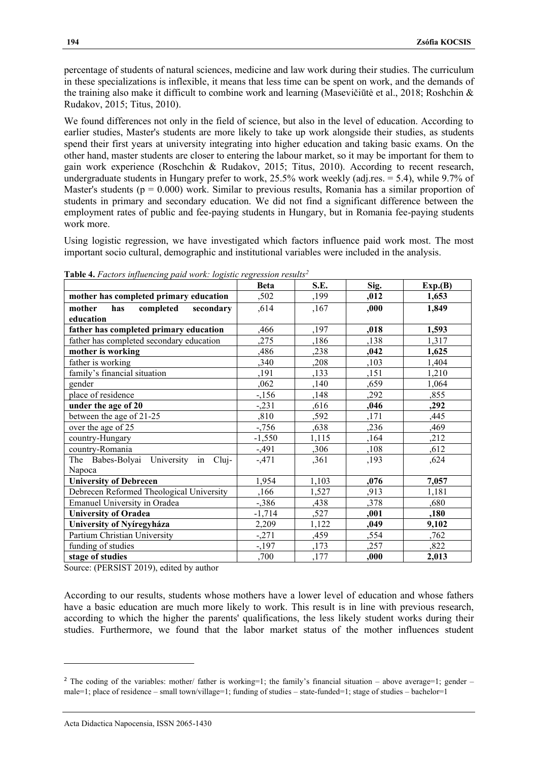percentage of students of natural sciences, medicine and law work during their studies. The curriculum in these specializations is inflexible, it means that less time can be spent on work, and the demands of the training also make it difficult to combine work and learning (Masevičiūtė et al., 2018; Roshchin & Rudakov, 2015; Titus, 2010).

We found differences not only in the field of science, but also in the level of education. According to earlier studies, Master's students are more likely to take up work alongside their studies, as students spend their first years at university integrating into higher education and taking basic exams. On the other hand, master students are closer to entering the labour market, so it may be important for them to gain work experience (Roschchin & Rudakov, 2015; Titus, 2010). According to recent research, undergraduate students in Hungary prefer to work, 25.5% work weekly (adj.res. = 5.4), while 9.7% of Master's students ( $p = 0.000$ ) work. Similar to previous results, Romania has a similar proportion of students in primary and secondary education. We did not find a significant difference between the employment rates of public and fee-paying students in Hungary, but in Romania fee-paying students work more.

Using logistic regression, we have investigated which factors influence paid work most. The most important socio cultural, demographic and institutional variables were included in the analysis.

|                                          | <b>Beta</b> | S.E.  | Sig. | Exp.(B) |
|------------------------------------------|-------------|-------|------|---------|
| mother has completed primary education   | ,502        | ,199  | ,012 | 1,653   |
| completed<br>secondary<br>mother<br>has  | ,614        | ,167  | ,000 | 1,849   |
| education                                |             |       |      |         |
| father has completed primary education   | ,466        | ,197  | ,018 | 1,593   |
| father has completed secondary education | ,275        | ,186  | ,138 | 1,317   |
| mother is working                        | ,486        | ,238  | ,042 | 1,625   |
| father is working                        | ,340        | ,208  | ,103 | 1,404   |
| family's financial situation             | ,191        | ,133  | ,151 | 1,210   |
| gender                                   | ,062        | ,140  | ,659 | 1,064   |
| place of residence                       | $-156$      | ,148  | ,292 | ,855    |
| under the age of 20                      | $-.231$     | ,616  | ,046 | ,292    |
| between the age of 21-25                 | ,810        | ,592  | ,171 | ,445    |
| over the age of 25                       | $-756$      | ,638  | ,236 | ,469    |
| country-Hungary                          | $-1,550$    | 1,115 | ,164 | ,212    |
| country-Romania                          | $-0.491$    | ,306  | ,108 | ,612    |
| The Babes-Bolyai University in Cluj-     | $-471$      | ,361  | ,193 | ,624    |
| Napoca                                   |             |       |      |         |
| <b>University of Debrecen</b>            | 1,954       | 1,103 | ,076 | 7,057   |
| Debrecen Reformed Theological University | ,166        | 1,527 | ,913 | 1,181   |
| Emanuel University in Oradea             | $-386$      | ,438  | ,378 | ,680    |
| <b>University of Oradea</b>              | $-1,714$    | ,527  | ,001 | ,180    |
| University of Nyíregyháza                | 2,209       | 1,122 | ,049 | 9,102   |
| Partium Christian University             | $-271$      | ,459  | ,554 | ,762    |
| funding of studies                       | $-197$      | ,173  | ,257 | ,822    |
| stage of studies                         | ,700        | ,177  | ,000 | 2,013   |

**Table 4.** *Factors influencing paid work: logistic regression results<sup>2</sup>*

Source: (PERSIST 2019), edited by author

According to our results, students whose mothers have a lower level of education and whose fathers have a basic education are much more likely to work. This result is in line with previous research, according to which the higher the parents' qualifications, the less likely student works during their studies. Furthermore, we found that the labor market status of the mother influences student

<sup>&</sup>lt;sup>2</sup> The coding of the variables: mother/ father is working=1; the family's financial situation – above average=1; gender – male=1; place of residence – small town/village=1; funding of studies – state-funded=1; stage of studies – bachelor=1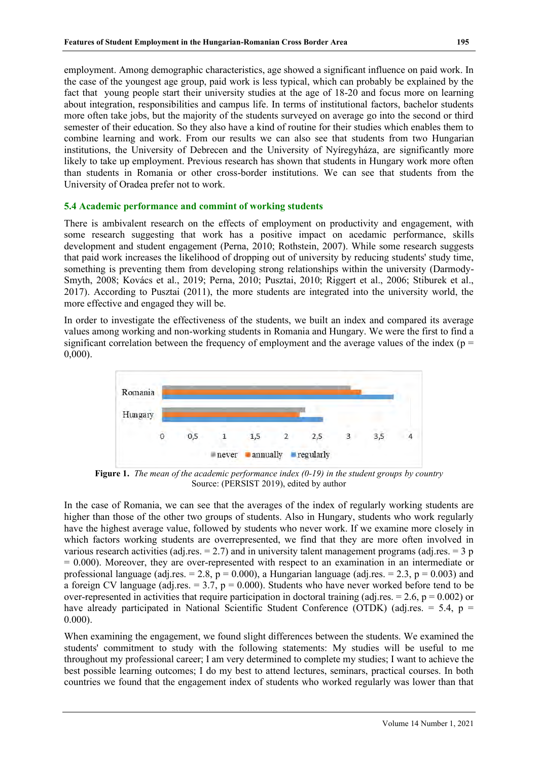employment. Among demographic characteristics, age showed a significant influence on paid work. In the case of the youngest age group, paid work is less typical, which can probably be explained by the fact that young people start their university studies at the age of 18-20 and focus more on learning about integration, responsibilities and campus life. In terms of institutional factors, bachelor students more often take jobs, but the majority of the students surveyed on average go into the second or third semester of their education. So they also have a kind of routine for their studies which enables them to combine learning and work. From our results we can also see that students from two Hungarian institutions, the University of Debrecen and the University of Nyíregyháza, are significantly more likely to take up employment. Previous research has shown that students in Hungary work more often than students in Romania or other cross-border institutions. We can see that students from the University of Oradea prefer not to work.

#### **5.4 Academic performance and commint of working students**

There is ambivalent research on the effects of employment on productivity and engagement, with some research suggesting that work has a positive impact on acedamic performance, skills development and student engagement (Perna, 2010; Rothstein, 2007). While some research suggests that paid work increases the likelihood of dropping out of university by reducing students' study time, something is preventing them from developing strong relationships within the university (Darmody-Smyth, 2008; Kovács et al., 2019; Perna, 2010; Pusztai, 2010; Riggert et al., 2006; Stiburek et al., 2017). According to Pusztai (2011), the more students are integrated into the university world, the more effective and engaged they will be.

In order to investigate the effectiveness of the students, we built an index and compared its average values among working and non-working students in Romania and Hungary. We were the first to find a significant correlation between the frequency of employment and the average values of the index ( $p =$ 0,000).



**Figure 1.** *The mean of the academic performance index (0-19) in the student groups by country* Source: (PERSIST 2019), edited by author

In the case of Romania, we can see that the averages of the index of regularly working students are higher than those of the other two groups of students. Also in Hungary, students who work regularly have the highest average value, followed by students who never work. If we examine more closely in which factors working students are overrepresented, we find that they are more often involved in various research activities (adj.res.  $= 2.7$ ) and in university talent management programs (adj.res.  $= 3 \text{ p}$ )  $= 0.000$ ). Moreover, they are over-represented with respect to an examination in an intermediate or professional language (adj.res. = 2.8,  $p = 0.000$ ), a Hungarian language (adj.res. = 2.3,  $p = 0.003$ ) and a foreign CV language (adj.res.  $= 3.7$ ,  $p = 0.000$ ). Students who have never worked before tend to be over-represented in activities that require participation in doctoral training (adj.res.  $= 2.6$ ,  $p = 0.002$ ) or have already participated in National Scientific Student Conference (OTDK) (adj.res.  $= 5.4$ , p  $=$ 0.000).

When examining the engagement, we found slight differences between the students. We examined the students' commitment to study with the following statements: My studies will be useful to me throughout my professional career; I am very determined to complete my studies; I want to achieve the best possible learning outcomes; I do my best to attend lectures, seminars, practical courses. In both countries we found that the engagement index of students who worked regularly was lower than that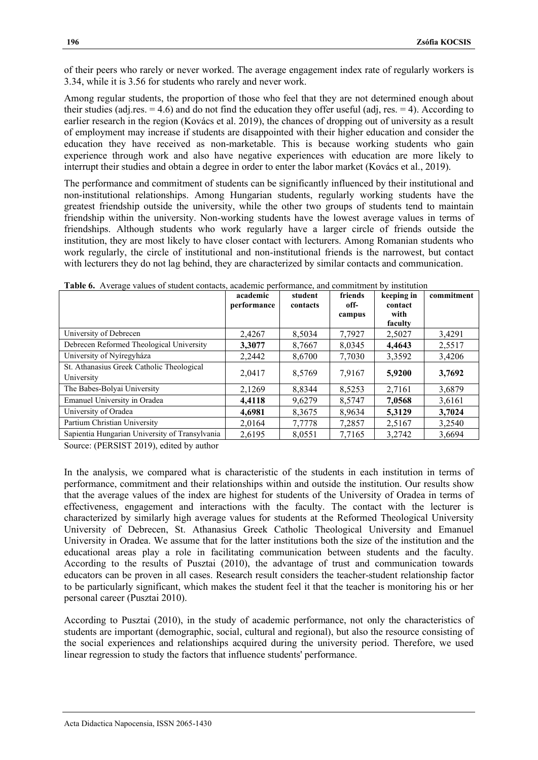of their peers who rarely or never worked. The average engagement index rate of regularly workers is 3.34, while it is 3.56 for students who rarely and never work.

Among regular students, the proportion of those who feel that they are not determined enough about their studies (adj.res.  $= 4.6$ ) and do not find the education they offer useful (adj, res.  $= 4$ ). According to earlier research in the region (Kovács et al. 2019), the chances of dropping out of university as a result of employment may increase if students are disappointed with their higher education and consider the education they have received as non-marketable. This is because working students who gain experience through work and also have negative experiences with education are more likely to interrupt their studies and obtain a degree in order to enter the labor market (Kovács et al., 2019).

The performance and commitment of students can be significantly influenced by their institutional and non-institutional relationships. Among Hungarian students, regularly working students have the greatest friendship outside the university, while the other two groups of students tend to maintain friendship within the university. Non-working students have the lowest average values in terms of friendships. Although students who work regularly have a larger circle of friends outside the institution, they are most likely to have closer contact with lecturers. Among Romanian students who work regularly, the circle of institutional and non-institutional friends is the narrowest, but contact with lecturers they do not lag behind, they are characterized by similar contacts and communication.

|                                                | academic<br>performance | student<br>contacts | friends<br>off- | keeping in<br>contact<br>with | commitment |
|------------------------------------------------|-------------------------|---------------------|-----------------|-------------------------------|------------|
|                                                |                         |                     | campus          | faculty                       |            |
| University of Debrecen                         | 2,4267                  | 8,5034              | 7,7927          | 2,5027                        | 3,4291     |
| Debrecen Reformed Theological University       | 3.3077                  | 8,7667              | 8,0345          | 4,4643                        | 2,5517     |
| University of Nyíregyháza                      | 2,2442                  | 8,6700              | 7,7030          | 3,3592                        | 3,4206     |
| St. Athanasius Greek Catholic Theological      | 2,0417                  | 8,5769              | 7,9167          | 5,9200                        | 3,7692     |
| University                                     |                         |                     |                 |                               |            |
| The Babes-Bolyai University                    | 2,1269                  | 8.8344              | 8,5253          | 2,7161                        | 3,6879     |
| Emanuel University in Oradea                   | 4.4118                  | 9,6279              | 8,5747          | 7,0568                        | 3,6161     |
| University of Oradea                           | 4,6981                  | 8,3675              | 8,9634          | 5.3129                        | 3,7024     |
| Partium Christian University                   | 2,0164                  | 7,7778              | 7,2857          | 2,5167                        | 3,2540     |
| Sapientia Hungarian University of Transylvania | 2,6195                  | 8,0551              | 7,7165          | 3,2742                        | 3,6694     |

| <b>Table 6.</b> Average values of student contacts, academic performance, and commitment by institution |  |
|---------------------------------------------------------------------------------------------------------|--|
|---------------------------------------------------------------------------------------------------------|--|

Source: (PERSIST 2019), edited by author

In the analysis, we compared what is characteristic of the students in each institution in terms of performance, commitment and their relationships within and outside the institution. Our results show that the average values of the index are highest for students of the University of Oradea in terms of effectiveness, engagement and interactions with the faculty. The contact with the lecturer is characterized by similarly high average values for students at the Reformed Theological University University of Debrecen, St. Athanasius Greek Catholic Theological University and Emanuel University in Oradea. We assume that for the latter institutions both the size of the institution and the educational areas play a role in facilitating communication between students and the faculty. According to the results of Pusztai (2010), the advantage of trust and communication towards educators can be proven in all cases. Research result considers the teacher-student relationship factor to be particularly significant, which makes the student feel it that the teacher is monitoring his or her personal career (Pusztai 2010).

According to Pusztai (2010), in the study of academic performance, not only the characteristics of students are important (demographic, social, cultural and regional), but also the resource consisting of the social experiences and relationships acquired during the university period. Therefore, we used linear regression to study the factors that influence students' performance.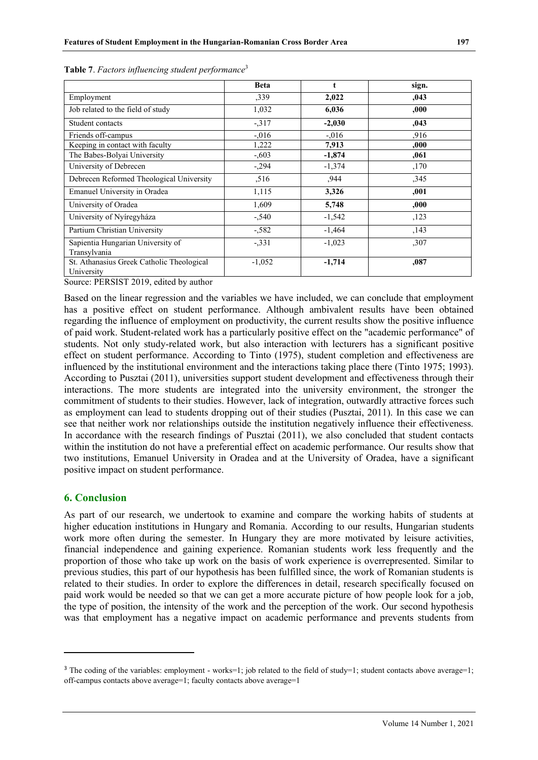|                                                         | <b>Beta</b> | t        | sign. |
|---------------------------------------------------------|-------------|----------|-------|
| Employment                                              | ,339        | 2,022    | ,043  |
| Job related to the field of study                       | 1,032       | 6,036    | .000. |
| Student contacts                                        | $-317$      | $-2,030$ | ,043  |
| Friends off-campus                                      | $-.016$     | $-.016$  | .916  |
| Keeping in contact with faculty                         | 1,222       | 7,913    | .000. |
| The Babes-Bolyai University                             | $-0.603$    | $-1,874$ | ,061  |
| University of Debrecen                                  | $-294$      | $-1,374$ | ,170  |
| Debrecen Reformed Theological University                | ,516        | .944     | ,345  |
| Emanuel University in Oradea                            | 1,115       | 3,326    | ,001  |
| University of Oradea                                    | 1,609       | 5,748    | 000.  |
| University of Nyíregyháza                               | $-540$      | $-1,542$ | ,123  |
| Partium Christian University                            | $-582$      | $-1,464$ | ,143  |
| Sapientia Hungarian University of                       | $-331$      | $-1,023$ | ,307  |
| Transylvania                                            |             |          |       |
| St. Athanasius Greek Catholic Theological<br>University | $-1,052$    | $-1,714$ | ,087  |

|  | Table 7. Factors influencing student performance <sup>3</sup> |  |
|--|---------------------------------------------------------------|--|
|  |                                                               |  |

Source: PERSIST 2019, edited by author

Based on the linear regression and the variables we have included, we can conclude that employment has a positive effect on student performance. Although ambivalent results have been obtained regarding the influence of employment on productivity, the current results show the positive influence of paid work. Student-related work has a particularly positive effect on the "academic performance" of students. Not only study-related work, but also interaction with lecturers has a significant positive effect on student performance. According to Tinto (1975), student completion and effectiveness are influenced by the institutional environment and the interactions taking place there (Tinto 1975; 1993). According to Pusztai (2011), universities support student development and effectiveness through their interactions. The more students are integrated into the university environment, the stronger the commitment of students to their studies. However, lack of integration, outwardly attractive forces such as employment can lead to students dropping out of their studies (Pusztai, 2011). In this case we can see that neither work nor relationships outside the institution negatively influence their effectiveness. In accordance with the research findings of Pusztai (2011), we also concluded that student contacts within the institution do not have a preferential effect on academic performance. Our results show that two institutions, Emanuel University in Oradea and at the University of Oradea, have a significant positive impact on student performance.

## **6. Conclusion**

As part of our research, we undertook to examine and compare the working habits of students at higher education institutions in Hungary and Romania. According to our results, Hungarian students work more often during the semester. In Hungary they are more motivated by leisure activities, financial independence and gaining experience. Romanian students work less frequently and the proportion of those who take up work on the basis of work experience is overrepresented. Similar to previous studies, this part of our hypothesis has been fulfilled since, the work of Romanian students is related to their studies. In order to explore the differences in detail, research specifically focused on paid work would be needed so that we can get a more accurate picture of how people look for a job, the type of position, the intensity of the work and the perception of the work. Our second hypothesis was that employment has a negative impact on academic performance and prevents students from

<sup>&</sup>lt;sup>3</sup> The coding of the variables: employment - works=1; job related to the field of study=1; student contacts above average=1; off-campus contacts above average=1; faculty contacts above average=1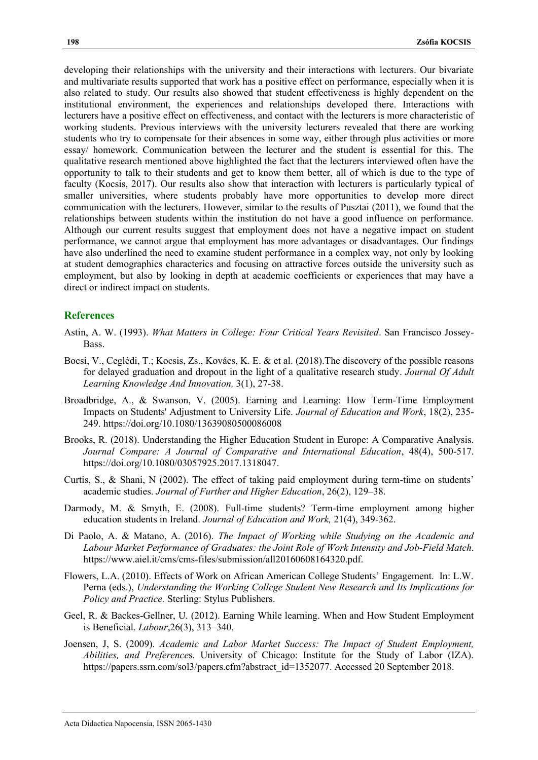developing their relationships with the university and their interactions with lecturers. Our bivariate and multivariate results supported that work has a positive effect on performance, especially when it is also related to study. Our results also showed that student effectiveness is highly dependent on the institutional environment, the experiences and relationships developed there. Interactions with lecturers have a positive effect on effectiveness, and contact with the lecturers is more characteristic of working students. Previous interviews with the university lecturers revealed that there are working students who try to compensate for their absences in some way, either through plus activities or more essay/ homework. Communication between the lecturer and the student is essential for this. The qualitative research mentioned above highlighted the fact that the lecturers interviewed often have the opportunity to talk to their students and get to know them better, all of which is due to the type of faculty (Kocsis, 2017). Our results also show that interaction with lecturers is particularly typical of smaller universities, where students probably have more opportunities to develop more direct communication with the lecturers. However, similar to the results of Pusztai (2011), we found that the relationships between students within the institution do not have a good influence on performance. Although our current results suggest that employment does not have a negative impact on student performance, we cannot argue that employment has more advantages or disadvantages. Our findings have also underlined the need to examine student performance in a complex way, not only by looking at student demographics characterics and focusing on attractive forces outside the university such as employment, but also by looking in depth at academic coefficients or experiences that may have a direct or indirect impact on students.

### **References**

- Astin, A. W. (1993). *What Matters in College: Four Critical Years Revisited*. San Francisco Jossey-Bass.
- Bocsi, V., Ceglédi, T.; Kocsis, Zs., [Kovács, K. E.](https://m2.mtmt.hu/api/author/10054388) & et al. (2018)[.The discovery of the possible reasons](https://m2.mtmt.hu/api/publication/30398072)  [for delayed graduation and dropout in the light of a qualitative research study.](https://m2.mtmt.hu/api/publication/30398072) *Journal Of Adult Learning Knowledge And Innovation,* 3(1), 27-38.
- Broadbridge, A., & Swanson, V. (2005). Earning and Learning: How Term-Time Employment Impacts on Students' Adjustment to University Life. *Journal of Education and Work*, 18(2), 235- 249. https://doi.org/10.1080/13639080500086008
- Brooks, R. (2018). Understanding the Higher Education Student in Europe: A Comparative Analysis. *Journal Compare: A Journal of Comparative and International Education*, 48(4), 500-517. [https://doi.org/10.1080/03057925.2017.1318047.](https://doi.org/10.1080/03057925.2017.1318047)
- Curtis, S., & Shani, N (2002). The effect of taking paid employment during term-time on students' academic studies. *Journal of Further and Higher Education*, 26(2), 129–38.
- Darmody, M. & Smyth, E. (2008). Full-time students? Term-time employment among higher education students in Ireland. *[Journal of Education and Work,](http://www.tandfonline.com/toc/cjew20/21/4)* 21(4), 349-362.
- Di Paolo, A. & Matano, A. (2016). *The Impact of Working while Studying on the Academic and Labour Market Performance of Graduates: the Joint Role of Work Intensity and Job-Field Match*. https://www.aiel.it/cms/cms-files/submission/all20160608164320.pdf.
- Flowers, L.A. (2010). Effects of Work on African American College Students' Engagement. In: L.W. Perna (eds.), *Understanding the Working College Student New Research and Its Implications for Policy and Practice.* Sterling: Stylus Publishers.
- Geel, R. & Backes-Gellner, U. (2012). Earning While learning. When and How Student Employment is Beneficial. *Labour*,26(3), 313–340.
- Joensen, J, S. (2009). *Academic and Labor Market Success: The Impact of Student Employment, Abilities, and Preference*s. University of Chicago: Institute for the Study of Labor (IZA). https://papers.ssrn.com/sol3/papers.cfm?abstract\_id=1352077. Accessed 20 September 2018.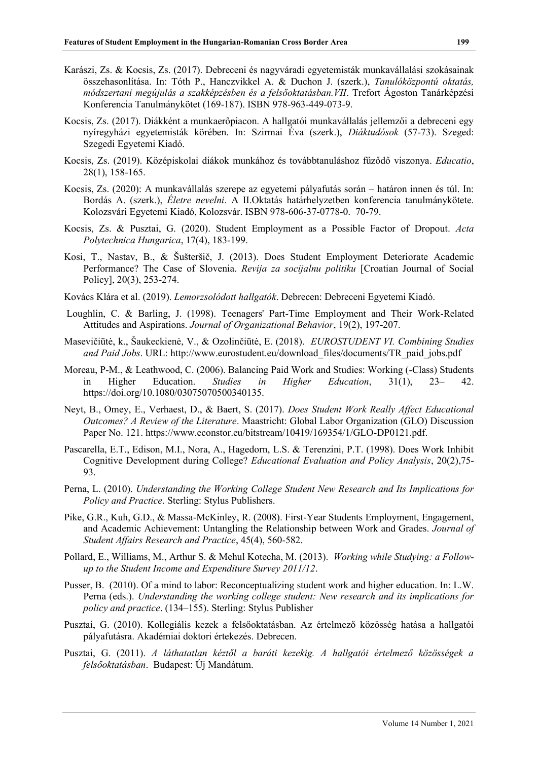- Karászi, Zs. & Kocsis, Zs. (2017). Debreceni és nagyváradi egyetemisták munkavállalási szokásainak összehasonlítása. In: Tóth P., Hanczvikkel A. & Duchon J. (szerk.), *Tanulóközpontú oktatás, módszertani megújulás a szakképzésben és a felsőoktatásban.VII*. Trefort Ágoston Tanárképzési Konferencia Tanulmánykötet (169-187). ISBN 978-963-449-073-9.
- Kocsis, Zs. (2017). Diákként a munkaerőpiacon. A hallgatói munkavállalás jellemzői a debreceni egy nyíregyházi egyetemisták körében. In: Szirmai Éva (szerk.), *Diáktudósok* (57-73). Szeged: Szegedi Egyetemi Kiadó.
- Kocsis, Zs. (2019). [Középiskolai diákok munkához és továbbtanuláshoz fűződő viszonya.](https://m2.mtmt.hu/gui2/?mode=browse¶ms=publication;30710892) *Educatio*, 28(1), 158-165.
- Kocsis, Zs. (2020): A munkavállalás szerepe az egyetemi pályafutás során határon innen és túl. In: Bordás A. (szerk.), *Életre nevelni*. A II.Oktatás határhelyzetben konferencia tanulmánykötete. Kolozsvári Egyetemi Kiadó, Kolozsvár. ISBN 978-606-37-0778-0. 70-79.
- Kocsis, Zs. & Pusztai, G. (2020). [Student Employment as a Possible Factor of Dropout.](https://m2.mtmt.hu/api/publication/31205471) *Acta Polytechnica Hungarica*, 17(4), 183-199.
- Kosi, T., Nastav, B., & Šušteršič, J. (2013). Does Student Employment Deteriorate Academic Performance? The Case of Slovenia. *Revija za socijalnu politiku* [Croatian Journal of Social Policy], 20(3), 253-274.
- Kovács Klára et al. (2019). *Lemorzsolódott hallgatók*. Debrecen: Debreceni Egyetemi Kiadó.
- [Loughlin,](https://onlinelibrary.wiley.com/action/doSearch?ContribAuthorStored=Loughlin%2C+Catherine) C. & [Barling,](https://onlinelibrary.wiley.com/action/doSearch?ContribAuthorStored=Barling%2C+Julian) J. (1998). Teenagers' Part-Time Employment and Their Work-Related Attitudes and Aspirations. *Journal of Organizational Behavior*, 19(2), 197-207.
- Masevičiūtė, k., Šaukeckienė, V., & Ozolinčiūtė, E. (2018). *EUROSTUDENT VI. Combining Studies and Paid Jobs*. URL: [http://www.eurostudent.eu/download\\_files/documents/TR\\_paid\\_jobs.pdf](http://www.eurostudent.eu/download_files/documents/TR_paid_jobs.pdf)
- Moreau, P-M., & Leathwood, C. (2006). Balancing Paid Work and Studies: Working (-Class) Students in Higher Education. *Studies in Higher Education*, 31(1), 23– 42. https://doi.org/10.1080/03075070500340135.
- Neyt, B., Omey, E., Verhaest, D., & Baert, S. (2017). *Does Student Work Really Affect Educational Outcomes? A Review of the Literature*. Maastricht: Global Labor Organization (GLO) Discussion Paper No. 121. https://www.econstor.eu/bitstream/10419/169354/1/GLO-DP0121.pdf.
- Pascarella, E.T., Edison, M.I., Nora, A., Hagedorn, L.S. & Terenzini, P.T. (1998). Does Work Inhibit Cognitive Development during College? *Educational Evaluation and Policy Analysis*, 20(2),75- 93.
- Perna, L. (2010). *Understanding the Working College Student New Research and Its Implications for Policy and Practice*. Sterling: Stylus Publishers.
- Pike, G.R., Kuh, G.D., & Massa-McKinley, R. (2008). First-Year Students Employment, Engagement, and Academic Achievement: Untangling the Relationship between Work and Grades. *Journal of Student Affairs Research and Practice*, 45(4), 560-582.
- Pollard, E., Williams, M., Arthur S. & Mehul Kotecha, M. (2013). *Working while Studying: a Followup to the Student Income and Expenditure Survey 2011/12*.
- Pusser, B. (2010). Of a mind to labor: Reconceptualizing student work and higher education. In: L.W. Perna (eds.). *Understanding the working college student: New research and its implications for policy and practice*. (134–155). Sterling: Stylus Publisher
- Pusztai, G. (2010). Kollegiális kezek a felsőoktatásban. Az értelmező közösség hatása a hallgatói pályafutásra. Akadémiai doktori értekezés. Debrecen.
- Pusztai, G. (2011). *A láthatatlan kéztől a baráti kezekig. A hallgatói értelmező közösségek a felsőoktatásban*. Budapest: Új Mandátum.